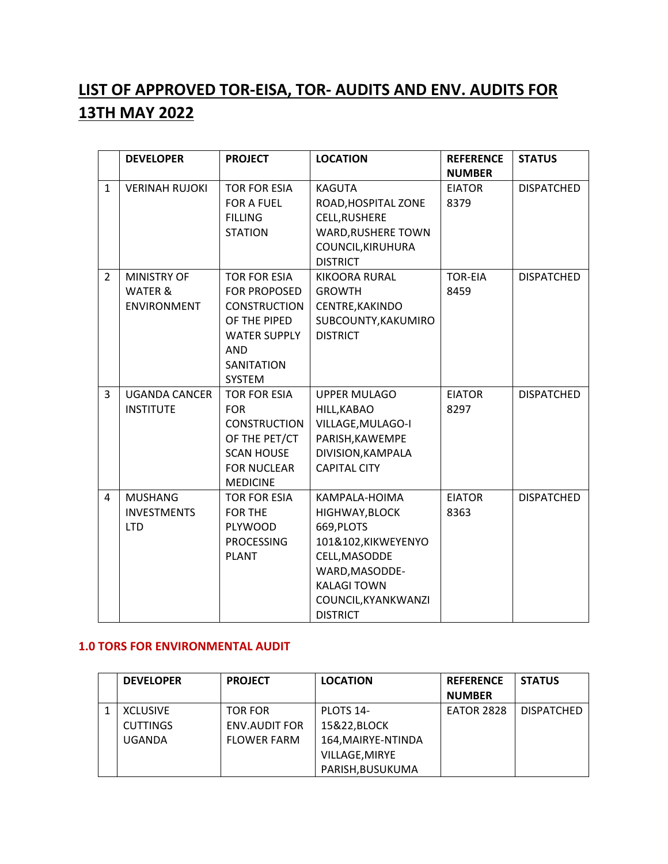## **LIST OF APPROVED TOR-EISA, TOR- AUDITS AND ENV. AUDITS FOR 13TH MAY 2022**

|                | <b>DEVELOPER</b>      | <b>PROJECT</b>      | <b>LOCATION</b>           | <b>REFERENCE</b> | <b>STATUS</b>     |
|----------------|-----------------------|---------------------|---------------------------|------------------|-------------------|
|                |                       |                     |                           | <b>NUMBER</b>    |                   |
| $\mathbf{1}$   | <b>VERINAH RUJOKI</b> | <b>TOR FOR ESIA</b> | <b>KAGUTA</b>             | <b>EIATOR</b>    | <b>DISPATCHED</b> |
|                |                       | <b>FOR A FUEL</b>   | ROAD, HOSPITAL ZONE       | 8379             |                   |
|                |                       | <b>FILLING</b>      | CELL, RUSHERE             |                  |                   |
|                |                       | <b>STATION</b>      | <b>WARD, RUSHERE TOWN</b> |                  |                   |
|                |                       |                     | COUNCIL, KIRUHURA         |                  |                   |
|                |                       |                     | <b>DISTRICT</b>           |                  |                   |
| $\overline{2}$ | <b>MINISTRY OF</b>    | <b>TOR FOR ESIA</b> | <b>KIKOORA RURAL</b>      | <b>TOR-EIA</b>   | <b>DISPATCHED</b> |
|                | <b>WATER &amp;</b>    | <b>FOR PROPOSED</b> | <b>GROWTH</b>             | 8459             |                   |
|                | ENVIRONMENT           | <b>CONSTRUCTION</b> | CENTRE, KAKINDO           |                  |                   |
|                |                       | OF THE PIPED        | SUBCOUNTY, KAKUMIRO       |                  |                   |
|                |                       | <b>WATER SUPPLY</b> | <b>DISTRICT</b>           |                  |                   |
|                |                       | <b>AND</b>          |                           |                  |                   |
|                |                       | <b>SANITATION</b>   |                           |                  |                   |
|                |                       | <b>SYSTEM</b>       |                           |                  |                   |
| 3              | <b>UGANDA CANCER</b>  | <b>TOR FOR ESIA</b> | <b>UPPER MULAGO</b>       | <b>EIATOR</b>    | <b>DISPATCHED</b> |
|                | <b>INSTITUTE</b>      | <b>FOR</b>          | HILL, KABAO               | 8297             |                   |
|                |                       | <b>CONSTRUCTION</b> | VILLAGE, MULAGO-I         |                  |                   |
|                |                       | OF THE PET/CT       | PARISH, KAWEMPE           |                  |                   |
|                |                       | <b>SCAN HOUSE</b>   | DIVISION, KAMPALA         |                  |                   |
|                |                       | <b>FOR NUCLEAR</b>  | <b>CAPITAL CITY</b>       |                  |                   |
|                |                       | <b>MEDICINE</b>     |                           |                  |                   |
| 4              | <b>MUSHANG</b>        | <b>TOR FOR ESIA</b> | KAMPALA-HOIMA             | <b>EIATOR</b>    | <b>DISPATCHED</b> |
|                | <b>INVESTMENTS</b>    | <b>FOR THE</b>      | HIGHWAY, BLOCK            | 8363             |                   |
|                | <b>LTD</b>            | PLYWOOD             | 669, PLOTS                |                  |                   |
|                |                       | <b>PROCESSING</b>   | 101&102, KIKWEYENYO       |                  |                   |
|                |                       | <b>PLANT</b>        | CELL, MASODDE             |                  |                   |
|                |                       |                     | WARD, MASODDE-            |                  |                   |
|                |                       |                     | <b>KALAGI TOWN</b>        |                  |                   |
|                |                       |                     | COUNCIL, KYANKWANZI       |                  |                   |
|                |                       |                     | <b>DISTRICT</b>           |                  |                   |

## **1.0 TORS FOR ENVIRONMENTAL AUDIT**

| <b>DEVELOPER</b> | <b>PROJECT</b>     | <b>LOCATION</b>    | <b>REFERENCE</b>  | <b>STATUS</b>     |
|------------------|--------------------|--------------------|-------------------|-------------------|
|                  |                    |                    | <b>NUMBER</b>     |                   |
| <b>XCLUSIVE</b>  | <b>TOR FOR</b>     | PLOTS 14-          | <b>EATOR 2828</b> | <b>DISPATCHED</b> |
| <b>CUTTINGS</b>  | ENV.AUDIT FOR      | 15&22,BLOCK        |                   |                   |
| UGANDA           | <b>FLOWER FARM</b> | 164, MAIRYE-NTINDA |                   |                   |
|                  |                    | VILLAGE, MIRYE     |                   |                   |
|                  |                    | PARISH, BUSUKUMA   |                   |                   |